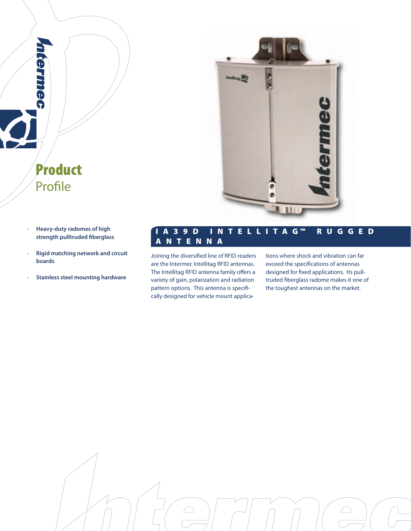

**· Heavy-duty radomes of high strength pulltruded fiberglass**

Product

Profile

**Cermiec** 

- **· Rigid matching network and circuit boards**
- **· Stainless steel mounting hardware**

# I A 3 9 D I N T E L L I T A G ™ R U G G E D A N T E N N A

Joining the diversified line of RFID readers are the Intermec Intellitag RFID antennas. The Intellitag RFID antenna family offers a variety of gain, polarization and radiation pattern options. This antenna is specifically designed for vehicle mount applications where shock and vibration can far exceed the specifications of antennas designed for fixed applications. Its pulltruded fiberglass radome makes it one of the toughest antennas on the market.